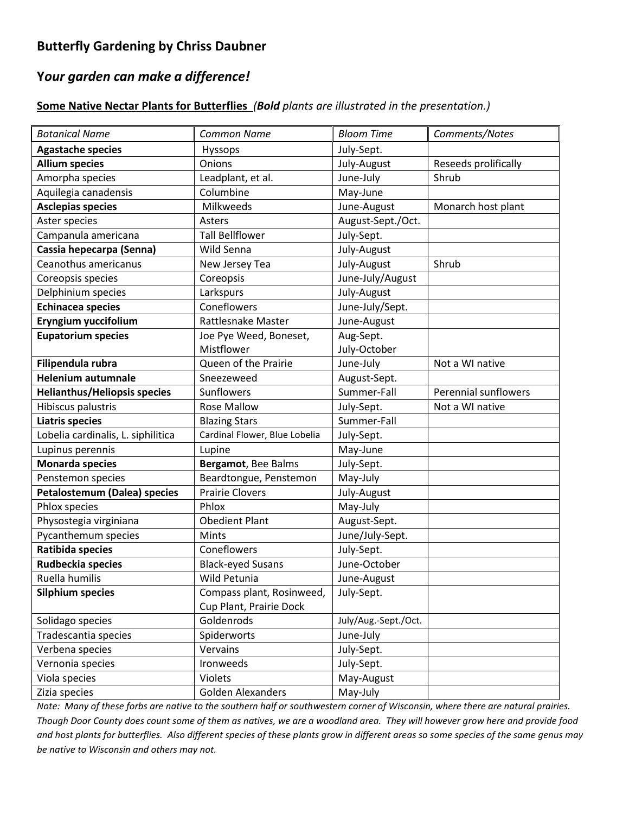# **Butterfly Gardening by Chriss Daubner**

# **Y***our garden can make a difference!*

### **Some Native Nectar Plants for Butterflies** *(Bold plants are illustrated in the presentation.)*

| <b>Botanical Name</b>               | <b>Common Name</b>            | <b>Bloom Time</b>    | Comments/Notes       |
|-------------------------------------|-------------------------------|----------------------|----------------------|
| <b>Agastache species</b>            | <b>Hyssops</b>                | July-Sept.           |                      |
| <b>Allium species</b>               | Onions                        | July-August          | Reseeds prolifically |
| Amorpha species                     | Leadplant, et al.             | June-July            | Shrub                |
| Aquilegia canadensis                | Columbine                     | May-June             |                      |
| <b>Asclepias species</b>            | Milkweeds                     | June-August          | Monarch host plant   |
| Aster species                       | Asters                        | August-Sept./Oct.    |                      |
| Campanula americana                 | <b>Tall Bellflower</b>        | July-Sept.           |                      |
| Cassia hepecarpa (Senna)            | Wild Senna                    | July-August          |                      |
| Ceanothus americanus                | New Jersey Tea                | July-August          | Shrub                |
| Coreopsis species                   | Coreopsis                     | June-July/August     |                      |
| Delphinium species                  | Larkspurs                     | July-August          |                      |
| <b>Echinacea species</b>            | Coneflowers                   | June-July/Sept.      |                      |
| Eryngium yuccifolium                | Rattlesnake Master            | June-August          |                      |
| <b>Eupatorium species</b>           | Joe Pye Weed, Boneset,        | Aug-Sept.            |                      |
|                                     | Mistflower                    | July-October         |                      |
| Filipendula rubra                   | Queen of the Prairie          | June-July            | Not a WI native      |
| <b>Helenium autumnale</b>           | Sneezeweed                    | August-Sept.         |                      |
| <b>Helianthus/Heliopsis species</b> | Sunflowers                    | Summer-Fall          | Perennial sunflowers |
| Hibiscus palustris                  | <b>Rose Mallow</b>            | July-Sept.           | Not a WI native      |
| <b>Liatris species</b>              | <b>Blazing Stars</b>          | Summer-Fall          |                      |
| Lobelia cardinalis, L. siphilitica  | Cardinal Flower, Blue Lobelia | July-Sept.           |                      |
| Lupinus perennis                    | Lupine                        | May-June             |                      |
| <b>Monarda species</b>              | Bergamot, Bee Balms           | July-Sept.           |                      |
| Penstemon species                   | Beardtongue, Penstemon        | May-July             |                      |
| <b>Petalostemum (Dalea) species</b> | <b>Prairie Clovers</b>        | July-August          |                      |
| Phlox species                       | Phlox                         | May-July             |                      |
| Physostegia virginiana              | <b>Obedient Plant</b>         | August-Sept.         |                      |
| Pycanthemum species                 | Mints                         | June/July-Sept.      |                      |
| Ratibida species                    | Coneflowers                   | July-Sept.           |                      |
| Rudbeckia species                   | <b>Black-eyed Susans</b>      | June-October         |                      |
| Ruella humilis                      | Wild Petunia                  | June-August          |                      |
| <b>Silphium species</b>             | Compass plant, Rosinweed,     | July-Sept.           |                      |
|                                     | Cup Plant, Prairie Dock       |                      |                      |
| Solidago species                    | Goldenrods                    | July/Aug.-Sept./Oct. |                      |
| Tradescantia species                | Spiderworts                   | June-July            |                      |
| Verbena species                     | Vervains                      | July-Sept.           |                      |
| Vernonia species                    | Ironweeds                     | July-Sept.           |                      |
| Viola species                       | Violets                       | May-August           |                      |
| Zizia species                       | <b>Golden Alexanders</b>      | May-July             |                      |

*Note: Many of these forbs are native to the southern half or southwestern corner of Wisconsin, where there are natural prairies. Though Door County does count some of them as natives, we are a woodland area. They will however grow here and provide food and host plants for butterflies. Also different species of these plants grow in different areas so some species of the same genus may be native to Wisconsin and others may not.*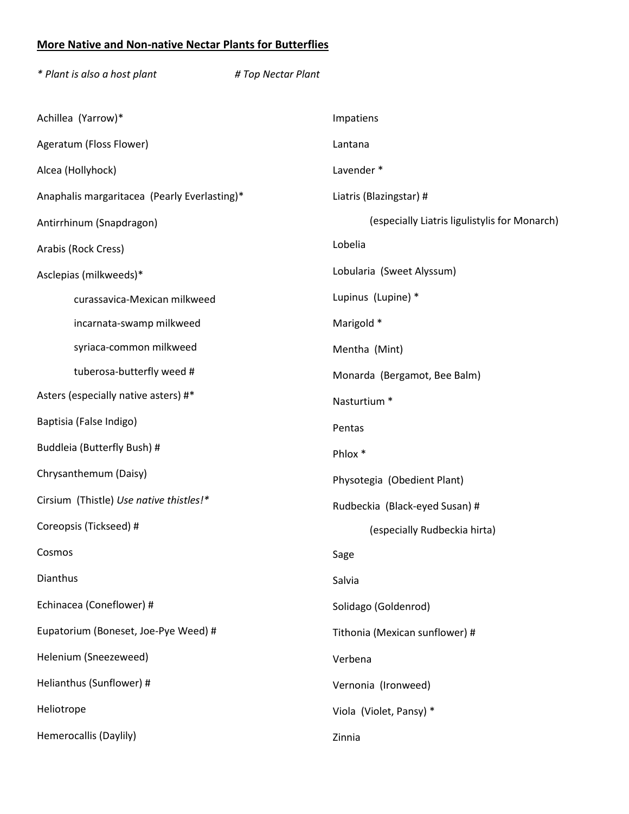## **More Native and Non-native Nectar Plants for Butterflies**

| * Plant is also a host plant                 | # Top Nectar Plant |                                               |  |
|----------------------------------------------|--------------------|-----------------------------------------------|--|
| Achillea (Yarrow)*                           |                    | Impatiens                                     |  |
| Ageratum (Floss Flower)                      |                    | Lantana                                       |  |
| Alcea (Hollyhock)                            |                    | Lavender *                                    |  |
| Anaphalis margaritacea (Pearly Everlasting)* |                    | Liatris (Blazingstar) #                       |  |
| Antirrhinum (Snapdragon)                     |                    | (especially Liatris ligulistylis for Monarch) |  |
| Arabis (Rock Cress)                          |                    | Lobelia                                       |  |
| Asclepias (milkweeds)*                       |                    | Lobularia (Sweet Alyssum)                     |  |
| curassavica-Mexican milkweed                 |                    | Lupinus (Lupine) *                            |  |
| incarnata-swamp milkweed                     |                    | Marigold *                                    |  |
| syriaca-common milkweed                      |                    | Mentha (Mint)                                 |  |
| tuberosa-butterfly weed #                    |                    | Monarda (Bergamot, Bee Balm)                  |  |
| Asters (especially native asters) #*         |                    | Nasturtium *                                  |  |
| Baptisia (False Indigo)                      |                    | Pentas                                        |  |
| Buddleia (Butterfly Bush) #                  |                    | Phlox *                                       |  |
| Chrysanthemum (Daisy)                        |                    | Physotegia (Obedient Plant)                   |  |
| Cirsium (Thistle) Use native thistles!*      |                    | Rudbeckia (Black-eyed Susan) #                |  |
| Coreopsis (Tickseed) #                       |                    | (especially Rudbeckia hirta)                  |  |
| Cosmos                                       |                    | Sage                                          |  |
| Dianthus                                     |                    | Salvia                                        |  |
| Echinacea (Coneflower) #                     |                    | Solidago (Goldenrod)                          |  |
| Eupatorium (Boneset, Joe-Pye Weed) #         |                    | Tithonia (Mexican sunflower) #                |  |
| Helenium (Sneezeweed)                        |                    | Verbena                                       |  |
| Helianthus (Sunflower) #                     |                    | Vernonia (Ironweed)                           |  |
| Heliotrope                                   |                    | Viola (Violet, Pansy) *                       |  |
| Hemerocallis (Daylily)                       |                    | Zinnia                                        |  |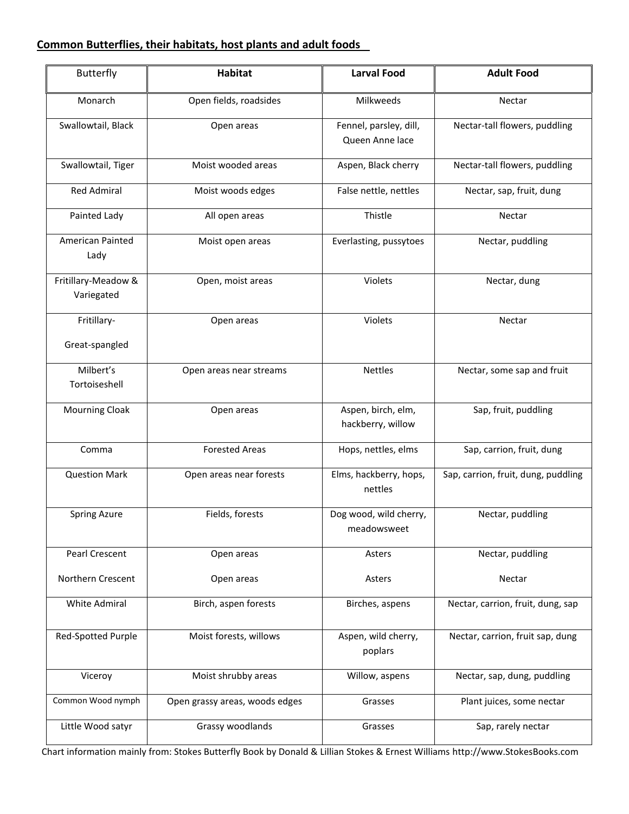## **Common Butterflies, their habitats, host plants and adult foods**

| <b>Butterfly</b>                  | Habitat                        | <b>Larval Food</b>                        | <b>Adult Food</b>                   |
|-----------------------------------|--------------------------------|-------------------------------------------|-------------------------------------|
| Monarch                           | Open fields, roadsides         | Milkweeds                                 | Nectar                              |
| Swallowtail, Black                | Open areas                     | Fennel, parsley, dill,<br>Queen Anne lace | Nectar-tall flowers, puddling       |
| Swallowtail, Tiger                | Moist wooded areas             | Aspen, Black cherry                       | Nectar-tall flowers, puddling       |
| <b>Red Admiral</b>                | Moist woods edges              | False nettle, nettles                     | Nectar, sap, fruit, dung            |
| Painted Lady                      | All open areas                 | Thistle                                   | Nectar                              |
| <b>American Painted</b><br>Lady   | Moist open areas               | Everlasting, pussytoes                    | Nectar, puddling                    |
| Fritillary-Meadow &<br>Variegated | Open, moist areas              | Violets                                   | Nectar, dung                        |
| Fritillary-<br>Great-spangled     | Open areas                     | Violets                                   | Nectar                              |
| Milbert's<br>Tortoiseshell        | Open areas near streams        | <b>Nettles</b>                            | Nectar, some sap and fruit          |
| <b>Mourning Cloak</b>             | Open areas                     | Aspen, birch, elm,<br>hackberry, willow   | Sap, fruit, puddling                |
| Comma                             | <b>Forested Areas</b>          | Hops, nettles, elms                       | Sap, carrion, fruit, dung           |
| <b>Question Mark</b>              | Open areas near forests        | Elms, hackberry, hops,<br>nettles         | Sap, carrion, fruit, dung, puddling |
| <b>Spring Azure</b>               | Fields, forests                | Dog wood, wild cherry,<br>meadowsweet     | Nectar, puddling                    |
| Pearl Crescent                    | Open areas                     | Asters                                    | Nectar, puddling                    |
| Northern Crescent                 | Open areas                     | Asters                                    | Nectar                              |
| <b>White Admiral</b>              | Birch, aspen forests           | Birches, aspens                           | Nectar, carrion, fruit, dung, sap   |
| Red-Spotted Purple                | Moist forests, willows         | Aspen, wild cherry,<br>poplars            | Nectar, carrion, fruit sap, dung    |
| Viceroy                           | Moist shrubby areas            | Willow, aspens                            | Nectar, sap, dung, puddling         |
| Common Wood nymph                 | Open grassy areas, woods edges | Grasses                                   | Plant juices, some nectar           |
| Little Wood satyr                 | Grassy woodlands               | Grasses                                   | Sap, rarely nectar                  |

Chart information mainly from: Stokes Butterfly Book by Donald & Lillian Stokes & Ernest Williams http://www.StokesBooks.com